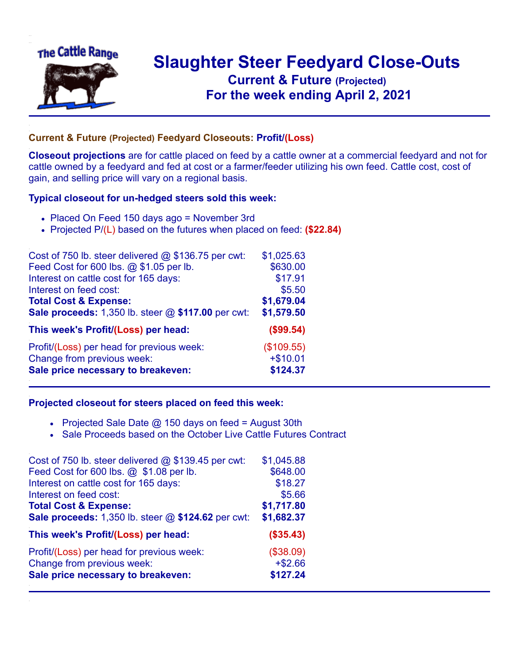

## **Slaughter Steer Feedyard Close-Outs Current & Future (Projected)** .**For the week ending April 2, 2021**

## **Current & Future (Projected) Feedyard Closeouts: Profit/(Loss)**

**Closeout projections** are for cattle placed on feed by a cattle owner at a commercial feedyard and not for cattle owned by a feedyard and fed at cost or a farmer/feeder utilizing his own feed. Cattle cost, cost of gain, and selling price will vary on a regional basis.

## **Typical closeout for un-hedged steers sold this week:**

- Placed On Feed 150 days ago = November 3rd
- Projected P/(L) based on the futures when placed on feed: **(\$22.84)**

| Cost of 750 lb. steer delivered $@$ \$136.75 per cwt:  | \$1,025.63 |
|--------------------------------------------------------|------------|
| Feed Cost for 600 lbs. @ \$1.05 per lb.                | \$630.00   |
| Interest on cattle cost for 165 days:                  | \$17.91    |
| Interest on feed cost:                                 | \$5.50     |
| <b>Total Cost &amp; Expense:</b>                       | \$1,679.04 |
| Sale proceeds: $1,350$ lb. steer $@$ \$117.00 per cwt: | \$1,579.50 |
| This week's Profit/(Loss) per head:                    | (\$99.54)  |
| Profit/(Loss) per head for previous week:              | (\$109.55) |
| Change from previous week:                             | $+ $10.01$ |
| Sale price necessary to breakeven:                     | \$124.37   |

## **Projected closeout for steers placed on feed this week:**

- Projected Sale Date  $@$  150 days on feed = August 30th
- Sale Proceeds based on the October Live Cattle Futures Contract

| Cost of 750 lb. steer delivered @ \$139.45 per cwt: | \$1,045.88 |
|-----------------------------------------------------|------------|
| Feed Cost for 600 lbs. @ \$1.08 per lb.             | \$648.00   |
| Interest on cattle cost for 165 days:               | \$18.27    |
| Interest on feed cost:                              | \$5.66     |
| <b>Total Cost &amp; Expense:</b>                    | \$1,717.80 |
| Sale proceeds: 1,350 lb. steer @ \$124.62 per cwt:  | \$1,682.37 |
| This week's Profit/(Loss) per head:                 | (\$35.43)  |
| Profit/(Loss) per head for previous week:           | (\$38.09)  |
| Change from previous week:                          | $+ $2.66$  |
| Sale price necessary to breakeven:                  | \$127.24   |